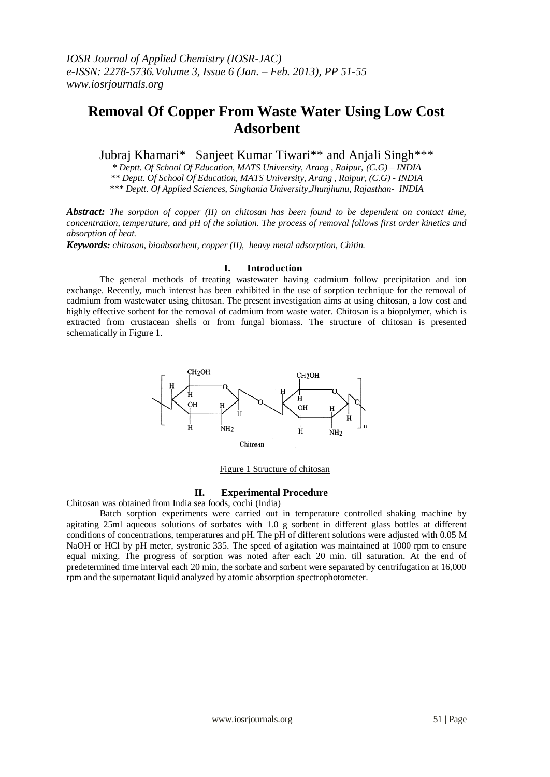# **Removal Of Copper From Waste Water Using Low Cost Adsorbent**

Jubraj Khamari\* Sanjeet Kumar Tiwari\*\* and Anjali Singh\*\*\*

*\* Deptt. Of School Of Education, MATS University, Arang , Raipur, (C.G) – INDIA \*\* Deptt. Of School Of Education, MATS University, Arang , Raipur, (C.G) - INDIA \*\*\* Deptt. Of Applied Sciences, Singhania University,Jhunjhunu, Rajasthan- INDIA*

*Abstract: The sorption of copper (II) on chitosan has been found to be dependent on contact time, concentration, temperature, and pH of the solution. The process of removal follows first order kinetics and absorption of heat.*

*Keywords: chitosan, bioabsorbent, copper (II), heavy metal adsorption, Chitin.*

# **I. Introduction**

The general methods of treating wastewater having cadmium follow precipitation and ion exchange. Recently, much interest has been exhibited in the use of sorption technique for the removal of cadmium from wastewater using chitosan. The present investigation aims at using chitosan, a low cost and highly effective sorbent for the removal of cadmium from waste water. Chitosan is a biopolymer, which is extracted from crustacean shells or from fungal biomass. The structure of chitosan is presented schematically in Figure 1.



Figure 1 Structure of chitosan

# **II. Experimental Procedure**

Chitosan was obtained from India sea foods, cochi (India)

Batch sorption experiments were carried out in temperature controlled shaking machine by agitating 25ml aqueous solutions of sorbates with 1.0 g sorbent in different glass bottles at different conditions of concentrations, temperatures and pH. The pH of different solutions were adjusted with 0.05 M NaOH or HCl by pH meter, systronic 335. The speed of agitation was maintained at 1000 rpm to ensure equal mixing. The progress of sorption was noted after each 20 min. till saturation. At the end of predetermined time interval each 20 min, the sorbate and sorbent were separated by centrifugation at 16,000 rpm and the supernatant liquid analyzed by atomic absorption spectrophotometer.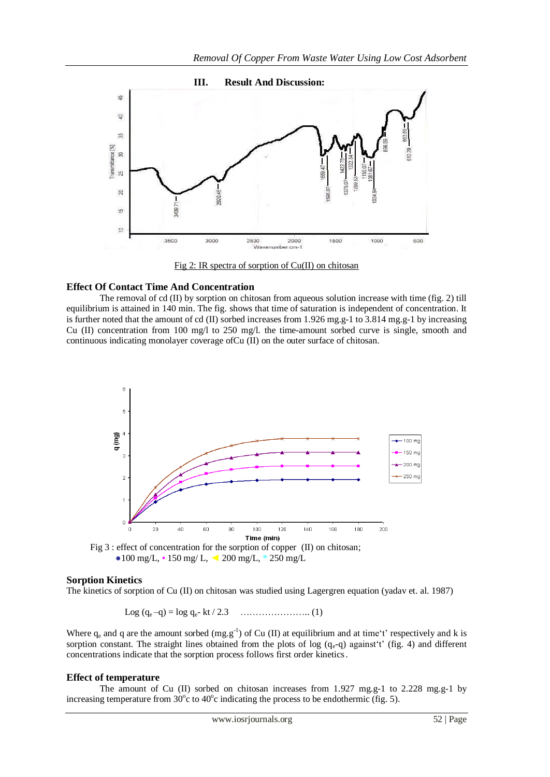

## **Effect Of Contact Time And Concentration**

The removal of cd (II) by sorption on chitosan from aqueous solution increase with time (fig. 2) till equilibrium is attained in 140 min. The fig. shows that time of saturation is independent of concentration. It is further noted that the amount of cd (II) sorbed increases from 1.926 mg.g-1 to 3.814 mg.g-1 by increasing Cu (II) concentration from 100 mg/l to 250 mg/l. the time-amount sorbed curve is single, smooth and continuous indicating monolayer coverage ofCu (II) on the outer surface of chitosan.



Fig 3 : effect of concentration for the sorption of copper (II) on chitosan;  $\bullet$ 100 mg/L,  $\bullet$  150 mg/L,  $\triangle$  200 mg/L,  $\ast$  250 mg/L

### **Sorption Kinetics**

The kinetics of sorption of Cu (II) on chitosan was studied using Lagergren equation (yadav et. al. 1987)

Log (q<sup>e</sup> –q) = log qe- kt / 2.3 ………………….. (1)

Where  $q_e$  and q are the amount sorbed (mg.g<sup>-1</sup>) of Cu (II) at equilibrium and at time't' respectively and k is sorption constant. The straight lines obtained from the plots of log  $(q_e-q)$  against't' (fig. 4) and different concentrations indicate that the sorption process follows first order kinetics.

#### **Effect of temperature**

The amount of Cu (II) sorbed on chitosan increases from 1.927 mg.g-1 to 2.228 mg.g-1 by increasing temperature from  $30^{\circ}$ c to  $40^{\circ}$ c indicating the process to be endothermic (fig. 5).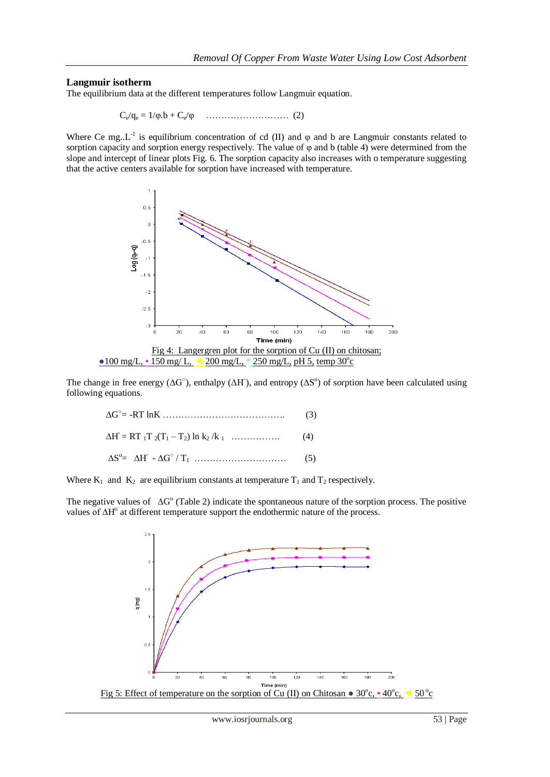# **Langmuir isotherm**

The equilibrium data at the different temperatures follow Langmuir equation.

$$
C_e/q_e = 1/\phi.b + C_e/\phi \quad \dots \dots \dots \dots \dots \dots \dots \dots \quad (2)
$$

Where Ce mg..L<sup>-1</sup> is equilibrium concentration of cd (II) and  $\varphi$  and b are Langmuir constants related to sorption capacity and sorption energy respectively. The value of φ and b (table 4) were determined from the slope and intercept of linear plots Fig. 6. The sorption capacity also increases with o temperature suggesting that the active centers available for sorption have increased with temperature.



The change in free energy ( $\Delta G^{\circ}$ ), enthalpy ( $\Delta H^{\circ}$ ), and entropy ( $\Delta S^{\circ}$ ) of sorption have been calculated using following equations.

| $\Delta S^{\circ} = \Delta H^{\circ} - \Delta G^{\circ}/T_1 \dots \dots \dots \dots \dots \dots \dots \dots \dots \tag{5}$ |  |
|----------------------------------------------------------------------------------------------------------------------------|--|

Where  $K_1$  and  $K_2$  are equilibrium constants at temperature  $T_1$  and  $T_2$  respectively.

The negative values of  $\Delta G^{\circ}$  (Table 2) indicate the spontaneous nature of the sorption process. The positive values of ∆H<sup>o</sup> at different temperature support the endothermic nature of the process.

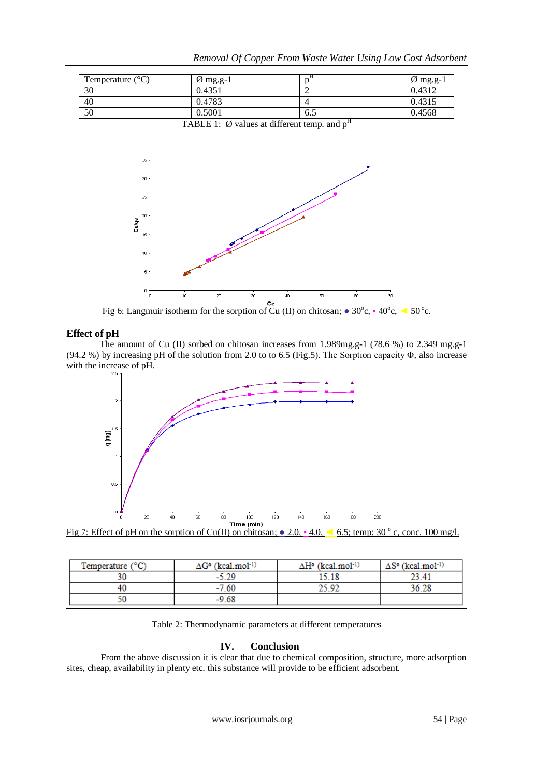| $\varnothing$ mg.g-1 |     | $\varnothing$ mg.g-1 |
|----------------------|-----|----------------------|
| 0.4351               |     | 0.4312               |
| 0.4783               |     | 0.4315               |
| 0.5001               | 6.5 | 0.4568               |
|                      |     |                      |

*Removal Of Copper From Waste Water Using Low Cost Adsorbent*

TABLE 1:  $\emptyset$  values at different temp. and  $p^H$ 



# **Effect of pH**

The amount of Cu (II) sorbed on chitosan increases from 1.989mg.g-1 (78.6 %) to 2.349 mg.g-1 (94.2 %) by increasing pH of the solution from 2.0 to to 6.5 (Fig.5). The Sorption capacity Φ, also increase with the increase of pH.





| Temperature $(^{\circ}C)$ | ∆G° (kcal.mol <sup>-1)</sup> | ∆Hº (kcal.mol-1) | ∆Sº (kcal.mol <sup>-1)</sup> |
|---------------------------|------------------------------|------------------|------------------------------|
|                           | -                            |                  |                              |
| 40                        | -60<br>-                     |                  |                              |
| яJ                        | -9.68                        |                  |                              |

Table 2: Thermodynamic parameters at different temperatures

# **IV. Conclusion**

From the above discussion it is clear that due to chemical composition, structure, more adsorption sites, cheap, availability in plenty etc. this substance will provide to be efficient adsorbent.